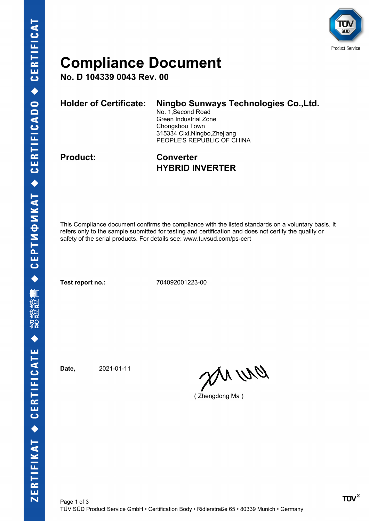

### **Compliance Document**

**No. D 104339 0043 Rev. 00**

| <b>Holder of Certificate:</b> | Ningbo Sunways Technologies Co., Ltd. |
|-------------------------------|---------------------------------------|
|                               | No. 1, Second Road                    |
|                               | Green Industrial Zone                 |
|                               | Chongshou Town                        |
|                               | 315334 Cixi, Ningbo, Zhejiang         |
|                               | PEOPLE'S REPUBLIC OF CHINA            |
|                               |                                       |

**Product: Converter HYBRID INVERTER**

This Compliance document confirms the compliance with the listed standards on a voluntary basis. It refers only to the sample submitted for testing and certification and does not certify the quality or safety of the serial products. For details see: www.tuvsud.com/ps-cert

**Test report no.:** 704092001223-00

**Date,** 2021-01-11

ON WO

( Zhengdong Ma )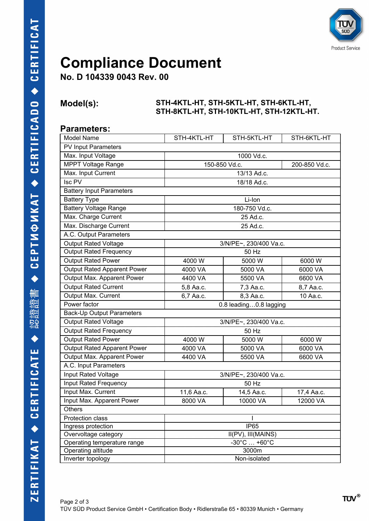

## **Compliance Document**

**No. D 104339 0043 Rev. 00**

#### **Model(s): STH-4KTL-HT, STH-5KTL-HT, STH-6KTL-HT, STH-8KTL-HT, STH-10KTL-HT, STH-12KTL-HT.**

#### **Parameters:**

| Model Name                         | STH-4KTL-HT                         | STH-5KTL-HT | STH-6KTL-HT |  |  |  |
|------------------------------------|-------------------------------------|-------------|-------------|--|--|--|
| PV Input Parameters                |                                     |             |             |  |  |  |
| Max. Input Voltage                 |                                     | 1000 Vd.c.  |             |  |  |  |
| <b>MPPT Voltage Range</b>          | 150-850 Vd.c.<br>200-850 Vd.c.      |             |             |  |  |  |
| Max. Input Current                 | 13/13 Ad.c.                         |             |             |  |  |  |
| $\overline{\text{Isc PV}}$         |                                     | 18/18 Ad.c. |             |  |  |  |
| <b>Battery Input Parameters</b>    |                                     |             |             |  |  |  |
| <b>Battery Type</b>                | Li-Ion                              |             |             |  |  |  |
| <b>Battery Voltage Range</b>       | 180-750 Vd.c.                       |             |             |  |  |  |
| Max. Charge Current                | 25 Ad.c.                            |             |             |  |  |  |
| Max. Discharge Current             | 25 Ad.c.                            |             |             |  |  |  |
| A.C. Output Parameters             |                                     |             |             |  |  |  |
| Output Rated Voltage               | 3/N/PE~, 230/400 Va.c.              |             |             |  |  |  |
| <b>Output Rated Frequency</b>      | 50 Hz                               |             |             |  |  |  |
| <b>Output Rated Power</b>          | 4000 W                              | 5000 W      | 6000 W      |  |  |  |
| <b>Output Rated Apparent Power</b> | 4000 VA                             | 5000 VA     | 6000 VA     |  |  |  |
| Output Max. Apparent Power         | 4400 VA                             | 5500 VA     | 6600 VA     |  |  |  |
| Output Rated Current               | 5,8 Aa.c.                           | 7,3 Aa.c.   | 8,7 Aa.c.   |  |  |  |
| Output Max. Current                | 6,7 Aa.c.                           | 8,3 Aa.c.   | 10 Aa.c.    |  |  |  |
| Power factor                       | 0.8 leading0.8 lagging              |             |             |  |  |  |
| <b>Back-Up Output Parameters</b>   |                                     |             |             |  |  |  |
| Output Rated Voltage               | 3/N/PE~, 230/400 Va.c.              |             |             |  |  |  |
| <b>Output Rated Frequency</b>      | 50 Hz                               |             |             |  |  |  |
| <b>Output Rated Power</b>          | 4000 W                              | 5000 W      | 6000 W      |  |  |  |
| Output Rated Apparent Power        | 4000 VA                             | 5000 VA     | 6000 VA     |  |  |  |
| Output Max. Apparent Power         | 4400 VA                             | 5500 VA     | 6600 VA     |  |  |  |
| A.C. Input Parameters              |                                     |             |             |  |  |  |
| Input Rated Voltage                | 3/N/PE~, 230/400 Va.c.              |             |             |  |  |  |
| Input Rated Frequency              | 50 Hz                               |             |             |  |  |  |
| Input Max. Current                 | 11,6 Aa.c.                          | 14,5 Aa.c.  | 17,4 Aa.c.  |  |  |  |
| Input Max. Apparent Power          | 8000 VA                             | 10000 VA    | 12000 VA    |  |  |  |
| Others                             |                                     |             |             |  |  |  |
| Protection class                   |                                     |             |             |  |  |  |
| Ingress protection                 | <b>IP65</b>                         |             |             |  |  |  |
| Overvoltage category               | $\overline{II}$ (PV), $III$ (MAINS) |             |             |  |  |  |
| Operating temperature range        | $-30^{\circ}$ C $+60^{\circ}$ C     |             |             |  |  |  |
| Operating altitude                 | 3000m                               |             |             |  |  |  |
| Inverter topology                  | Non-isolated                        |             |             |  |  |  |